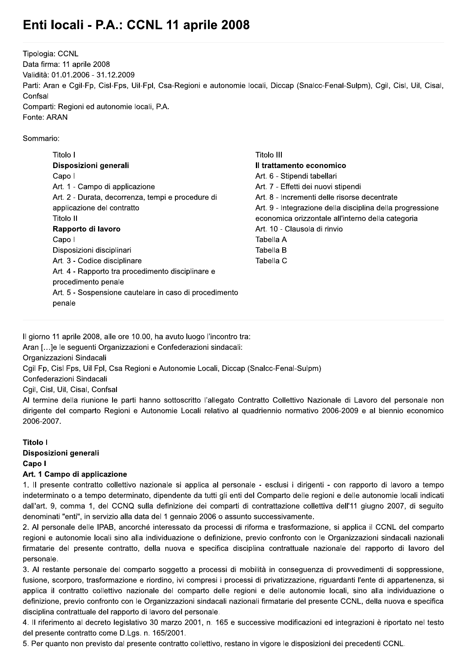# Enti locali - P.A.: CCNL 11 aprile 2008

Tipologia: CCNL Data firma: 11 aprile 2008 Validità: 01.01.2006 - 31.12.2009 Parti: Aran e Cgil-Fp, Cisl-Fps, Uil-Fpl, Csa-Regioni e autonomie locali, Diccap (Snalcc-Fenal-Sulpm), Cgil, Cisl, Uil, Cisal, Confsal Comparti: Regioni ed autonomie locali, P.A. Fonte: ARAN

### Sommario:

| Titolo I                                               | Titolo III                                                |
|--------------------------------------------------------|-----------------------------------------------------------|
| Disposizioni generali                                  | Il trattamento economico                                  |
| Capo I                                                 | Art. 6 - Stipendi tabellari                               |
| Art. 1 - Campo di applicazione                         | Art. 7 - Effetti dei nuovi stipendi                       |
| Art. 2 - Durata, decorrenza, tempi e procedure di      | Art. 8 - Incrementi delle risorse decentrate              |
| applicazione del contratto                             | Art. 9 - Integrazione della disciplina della progressione |
| Titolo II                                              | economica orizzontale all'interno della categoria         |
| Rapporto di lavoro                                     | Art. 10 - Clausola di rinvio                              |
| Capo I                                                 | Tabella A                                                 |
| Disposizioni disciplinari                              | Tabella B                                                 |
| Art. 3 - Codice disciplinare                           | Tabella C                                                 |
| Art. 4 - Rapporto tra procedimento disciplinare e      |                                                           |
| procedimento penale                                    |                                                           |
| Art. 5 - Sospensione cautelare in caso di procedimento |                                                           |
| penale                                                 |                                                           |
|                                                        |                                                           |

Il giorno 11 aprile 2008, alle ore 10.00, ha avuto luogo l'incontro tra:

Aran [...]e le seguenti Organizzazioni e Confederazioni sindacali:

Organizzazioni Sindacali

Cgil Fp, Cisl Fps, Uil Fpl, Csa Regioni e Autonomie Locali, Diccap (Snalcc-Fenal-Sulpm)

Confederazioni Sindacali

Cgil, Cisl, Uil, Cisal, Confsal

Al termine della riunione le parti hanno sottoscritto l'allegato Contratto Collettivo Nazionale di Lavoro del personale non dirigente del comparto Regioni e Autonomie Locali relativo al quadriennio normativo 2006-2009 e al biennio economico 2006-2007.

### **Titolo I**

# Disposizioni generali Capo I

## Art. 1 Campo di applicazione

1. Il presente contratto collettivo nazionale si applica al personale - esclusi i dirigenti - con rapporto di lavoro a tempo indeterminato o a tempo determinato, dipendente da tutti gli enti del Comparto delle regioni e delle autonomie locali indicati dall'art. 9, comma 1, del CCNQ sulla definizione dei comparti di contrattazione collettiva dell'11 giugno 2007, di seguito denominati "enti", in servizio alla data del 1 gennaio 2006 o assunto successivamente.

2. Al personale delle IPAB, ancorché interessato da processi di riforma e trasformazione, si applica il CCNL del comparto regioni e autonomie locali sino alla individuazione o definizione, previo confronto con le Organizzazioni sindacali nazionali firmatarie del presente contratto, della nuova e specifica disciplina contrattuale nazionale del rapporto di lavoro del personale.

3. Al restante personale del comparto soggetto a processi di mobilità in conseguenza di provvedimenti di soppressione, fusione, scorporo, trasformazione e riordino, ivi compresi i processi di privatizzazione, riguardanti l'ente di appartenenza, si applica il contratto collettivo nazionale del comparto delle regioni e delle autonomie locali, sino alla individuazione o definizione, previo confronto con le Organizzazioni sindacali nazionali firmatarie del presente CCNL, della nuova e specifica disciplina contrattuale del rapporto di lavoro del personale.

4. Il riferimento al decreto legislativo 30 marzo 2001, n. 165 e successive modificazioni ed integrazioni è riportato nel testo del presente contratto come D.Lgs. n. 165/2001.

5. Per quanto non previsto dal presente contratto collettivo, restano in vigore le disposizioni dei precedenti CCNL.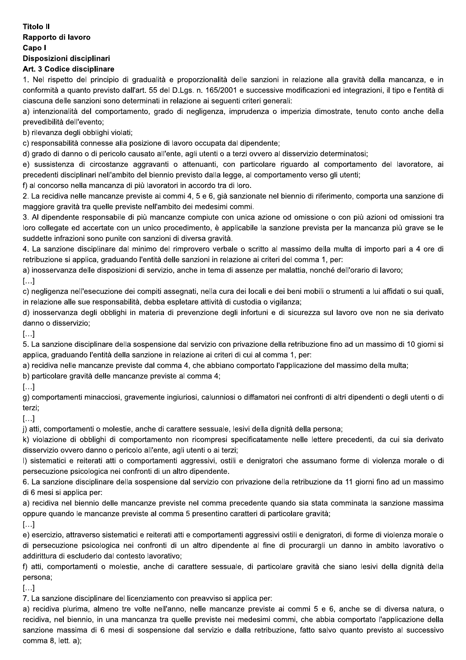## **Titolo II** Rapporto di lavoro Capo I Disposizioni disciplinari

### Art. 3 Codice disciplinare

1. Nel rispetto del principio di gradualità e proporzionalità delle sanzioni in relazione alla gravità della mancanza, e in conformità a quanto previsto dall'art. 55 del D.Lgs. n. 165/2001 e successive modificazioni ed integrazioni, il tipo e l'entità di ciascuna delle sanzioni sono determinati in relazione ai sequenti criteri generali:

a) intenzionalità del comportamento, grado di negligenza, imprudenza o imperizia dimostrate, tenuto conto anche della prevedibilità dell'evento;

b) rilevanza degli obblighi violati;

c) responsabilità connesse alla posizione di lavoro occupata dal dipendente;

d) grado di danno o di pericolo causato all'ente, agli utenti o a terzi ovvero al disservizio determinatosi;

e) sussistenza di circostanze aggravanti o attenuanti, con particolare riguardo al comportamento del lavoratore, ai precedenti disciplinari nell'ambito del biennio previsto dalla legge, al comportamento verso gli utenti;

f) al concorso nella mancanza di più lavoratori in accordo tra di loro.

2. La recidiva nelle mancanze previste ai commi 4, 5 e 6, già sanzionate nel biennio di riferimento, comporta una sanzione di maggiore gravità tra quelle previste nell'ambito dei medesimi commi.

3. Al dipendente responsabile di più mancanze compiute con unica azione od omissione o con più azioni od omissioni tra loro collegate ed accertate con un unico procedimento, è applicabile la sanzione prevista per la mancanza più grave se le suddette infrazioni sono punite con sanzioni di diversa gravità.

4. La sanzione disciplinare dal minimo del rimprovero verbale o scritto al massimo della multa di importo pari a 4 ore di retribuzione si applica, graduando l'entità delle sanzioni in relazione ai criteri del comma 1, per:

a) inosservanza delle disposizioni di servizio, anche in tema di assenze per malattia, nonché dell'orario di lavoro;

 $\left[\ldots\right]$ 

c) negligenza nell'esecuzione dei compiti assegnati, nella cura dei locali e dei beni mobili o strumenti a lui affidati o sui quali, in relazione alle sue responsabilità, debba espletare attività di custodia o vigilanza;

d) inosservanza degli obblighi in materia di prevenzione degli infortuni e di sicurezza sul lavoro ove non ne sia derivato danno o disservizio;

 $\left[\ldots\right]$ 

5. La sanzione disciplinare della sospensione dal servizio con privazione della retribuzione fino ad un massimo di 10 giorni si applica, graduando l'entità della sanzione in relazione ai criteri di cui al comma 1, per:

a) recidiva nelle mancanze previste dal comma 4, che abbiano comportato l'applicazione del massimo della multa;

b) particolare gravità delle mancanze previste al comma 4;

 $\left[\ldots\right]$ 

g) comportamenti minacciosi, gravemente ingiuriosi, calunniosi o diffamatori nei confronti di altri dipendenti o degli utenti o di terzi:

 $\left[\ldots\right]$ 

j) atti, comportamenti o molestie, anche di carattere sessuale, lesivi della dignità della persona;

k) violazione di obblighi di comportamento non ricompresi specificatamente nelle lettere precedenti, da cui sia derivato disservizio ovvero danno o pericolo all'ente, agli utenti o ai terzi;

I) sistematici e reiterati atti o comportamenti aggressivi, ostili e denigratori che assumano forme di violenza morale o di persecuzione psicologica nei confronti di un altro dipendente.

6. La sanzione disciplinare della sospensione dal servizio con privazione della retribuzione da 11 giorni fino ad un massimo di 6 mesi si applica per:

a) recidiva nel biennio delle mancanze previste nel comma precedente quando sia stata comminata la sanzione massima oppure quando le mancanze previste al comma 5 presentino caratteri di particolare gravità;

 $\left[\ldots\right]$ 

e) esercizio, attraverso sistematici e reiterati atti e comportamenti aggressivi ostili e denigratori, di forme di violenza morale o di persecuzione psicologica nei confronti di un altro dipendente al fine di procurargli un danno in ambito lavorativo o addirittura di escluderlo dal contesto lavorativo;

f) atti, comportamenti o molestie, anche di carattere sessuale, di particolare gravità che siano lesivi della dignità della persona;

 $\left[\ldots\right]$ 

7. La sanzione disciplinare del licenziamento con preavviso si applica per:

a) recidiva plurima, almeno tre volte nell'anno, nelle mancanze previste ai commi 5 e 6, anche se di diversa natura, o recidiva, nel biennio, in una mancanza tra quelle previste nei medesimi commi, che abbia comportato l'applicazione della sanzione massima di 6 mesi di sospensione dal servizio e dalla retribuzione, fatto salvo quanto previsto al successivo comma 8, lett. a):